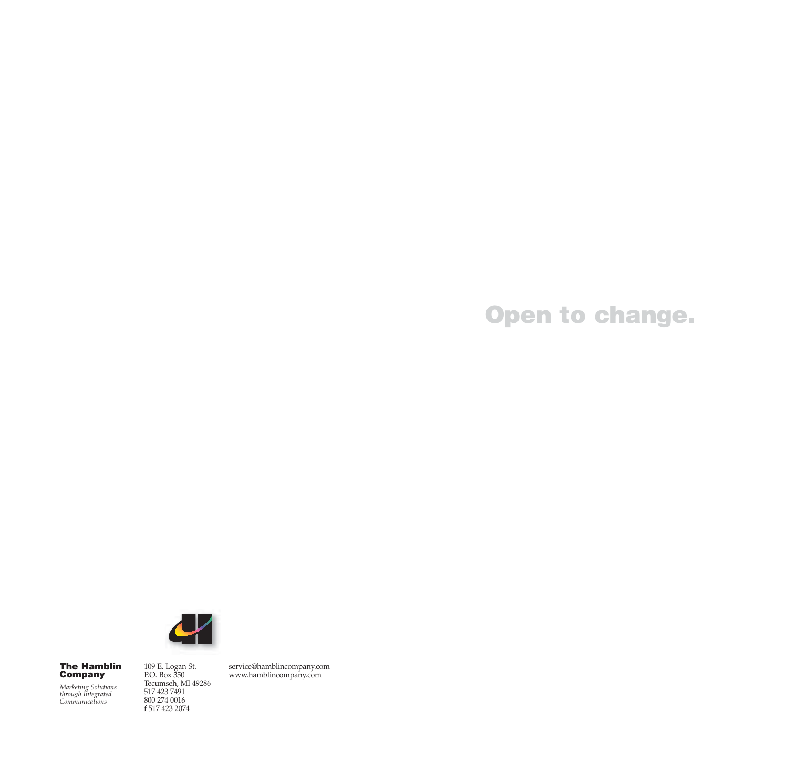**Open to change.**



### **The Hamblin Company**

*Marketing Solutions through Integrated Communications*

109 E. Logan St. P.O. Box 350 Tecumseh, MI 49286 517 423 7491 800 274 0016 f 517 423 2074

service@hamblincompany.com www.hamblincompany.com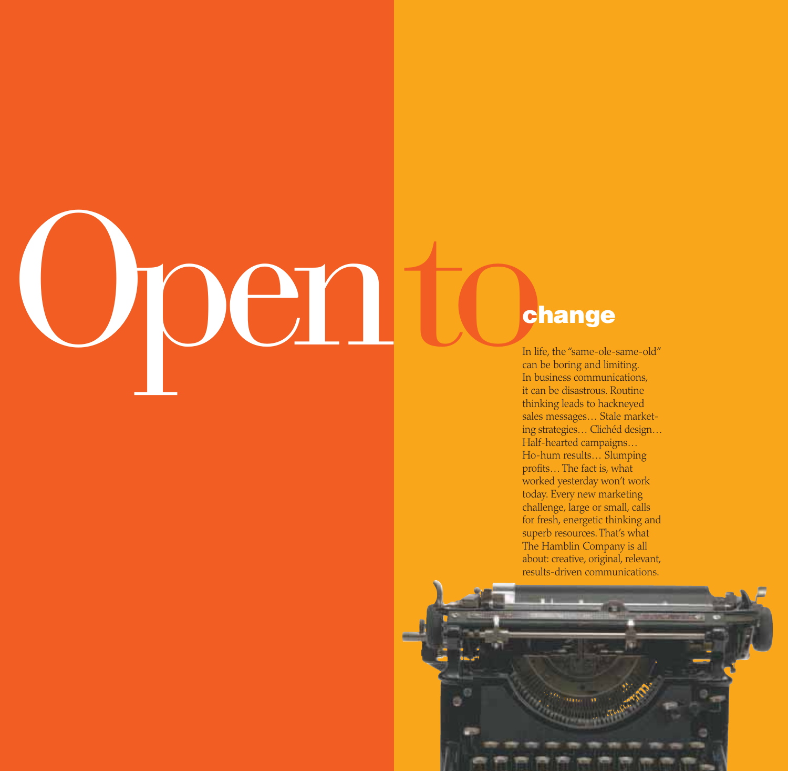### **Change**<br>
In life, the "same-ole-<br>
In life, the "same-ole-<br>
In business communi<br>
it can be disastrous. R IOCI !

In life, the "same-ole-same-old" can be boring and limiting. In business communications, it can be disastrous. Routine thinking leads to hackneyed sales messages… Stale marketing strategies… Clichéd design… Half-hearted campaigns… Ho-hum results… Slumping profits… The fact is, what worked yesterday won't work today. Every new marketing challenge, large or small, calls for fresh, energetic thinking and superb resources. That's what The Hamblin Company is all about: creative, original, relevant, results-driven communications.

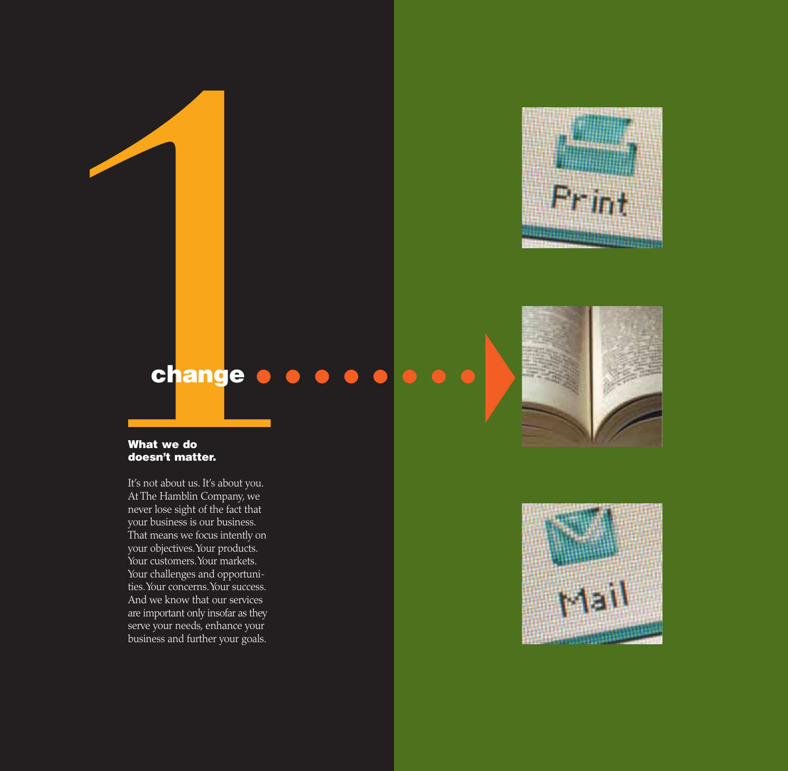

### $\bullet$

### **What we do doesn't matter.**

**Change**<br> **Change**<br> **What we do<br>
<b>doesn't matter.**<br>
It's not about us. It's about you.<br>
At The Hamblin Company, we<br>
never lose sight of the fact that<br>
your busincess is our business.<br>
That means we focus intently on<br>
your It's not about us. It's about you. At The Hamblin Company, we never lose sight of the fact that your business is our business. That means we focus intently on your objectives.Your products. Your customers. Your markets. Your challenges and opportunities.Your concerns.Your success. And we know that our services are important only insofar as they serve your needs, enhance your business and further your goals.



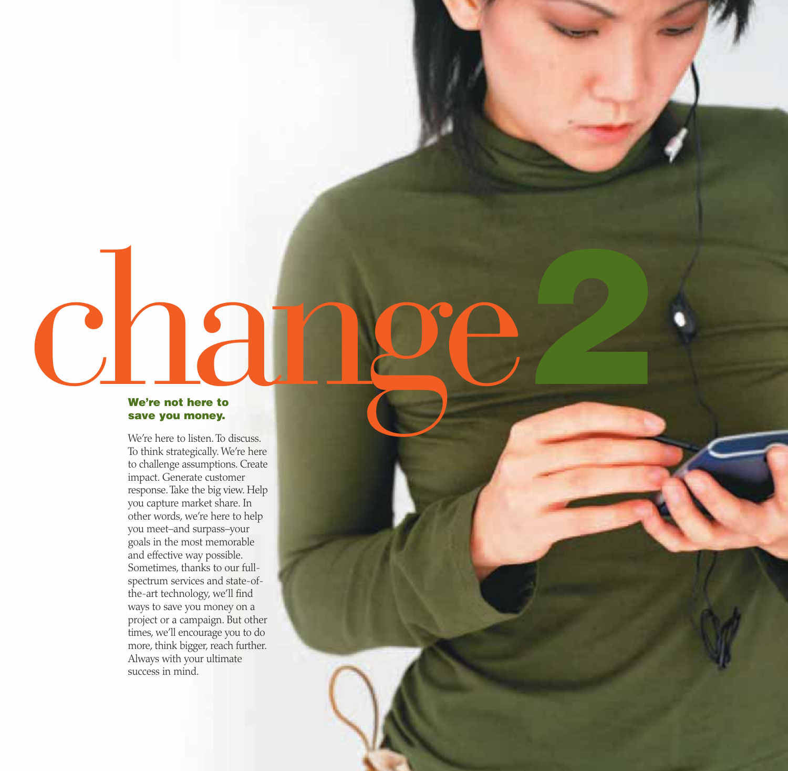# Change **We're not here to**

**2**

### **save you money.**

We're here to listen. To discuss. To think strategically. We're here to challenge assumptions. Create impact. Generate customer response.Take the big view. Help you capture market share. In other words, we're here to help you meet–and surpass–your goals in the most memorable and effective way possible. Sometimes, thanks to our fullspectrum services and state-ofthe-art technology, we'll find ways to save you money on a project or a campaign. But other times, we'll encourage you to do more, think bigger, reach further. Always with your ultimate success in mind.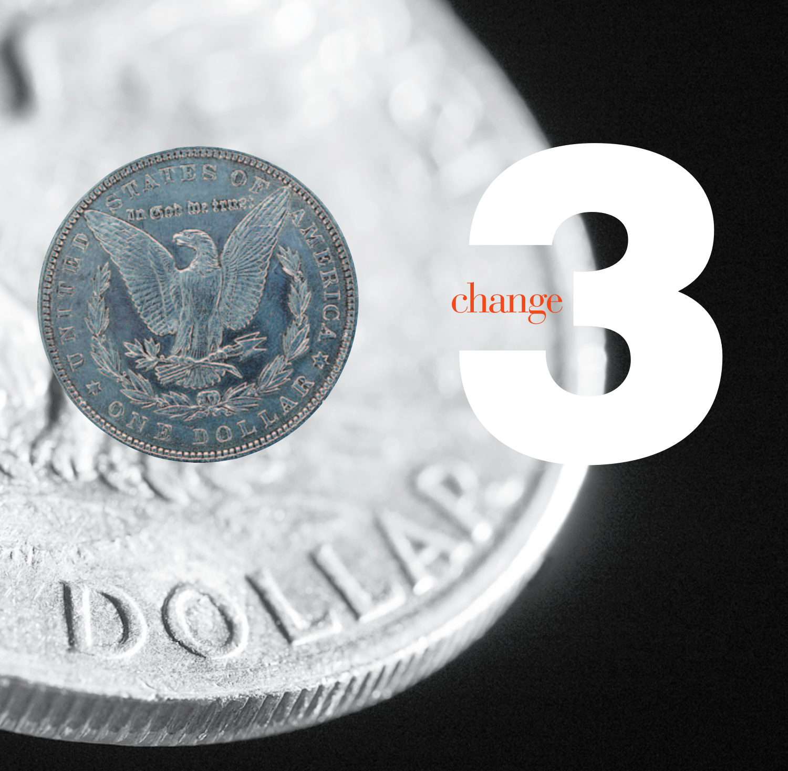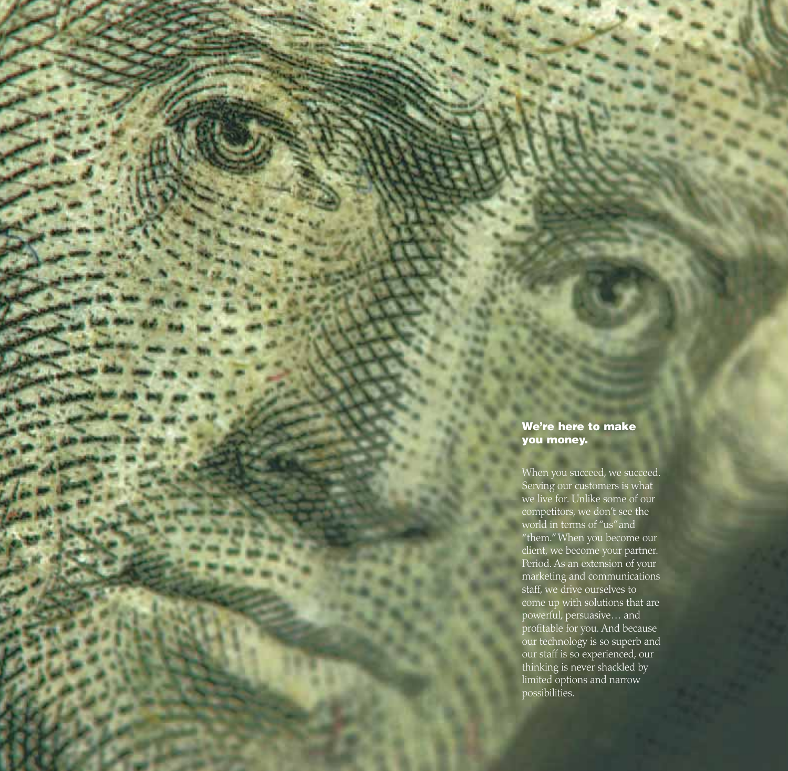### **We're here to make you money.**

When you succeed, we succeed. Serving our customers is what we live for. Unlike some of our competitors, we don't see the world in terms of "us"and "them."When you become our client, we become your partner. Period. As an extension of your marketing and communications staff, we drive ourselves to come up with solutions that are powerful, persuasive… and profitable for you. And because our technology is so superb and our staff is so experienced, our thinking is never shackled by limited options and narrow possibilities.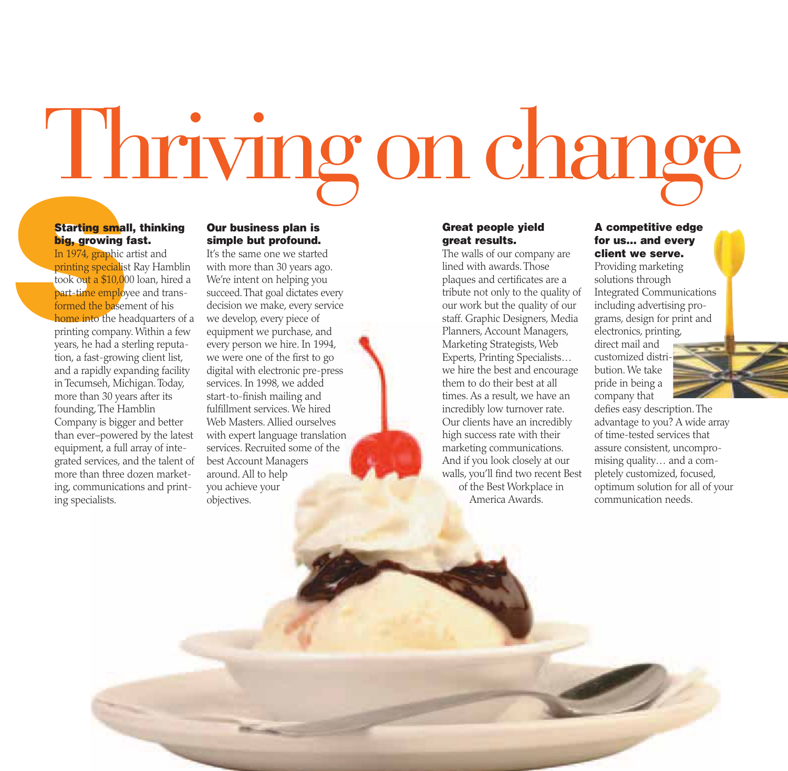Thriving onchange

### **Starting small, thinking big, growing fast.**

**Starting small big, growing f**<br>In 1974, graphic a printing specialist took out a \$10,00 part-time employ formed the basen home into the he printing company years, he had a st In 1974, graphic artist and printing specialist Ray Hamblin took out a \$10,000 loan, hired a part-time employee and transformed the basement of his home into the headquarters of a printing company. Within a few years, he had a sterling reputation, a fast-growing client list, and a rapidly expanding facility in Tecumseh, Michigan. Today, more than 30 years after its founding, The Hamblin Company is bigger and better than ever–powered by the latest equipment, a full array of integrated services, and the talent of more than three dozen marketing, communications and printing specialists.

### **Our business plan is simple but profound.**

It's the same one we started with more than 30 years ago. We're intent on helping you succeed.That goal dictates every decision we make, every service we develop, every piece of equipment we purchase, and every person we hire. In 1994, we were one of the first to go digital with electronic pre-press services. In 1998, we added start-to-finish mailing and fulfillment services. We hired Web Masters. Allied ourselves with expert language translation services. Recruited some of the best Account Managers around. All to help you achieve your objectives.

### **Great people yield great results.**

The walls of our company are lined with awards. Those plaques and certificates are a tribute not only to the quality of our work but the quality of our staff. Graphic Designers, Media Planners, Account Managers, Marketing Strategists, Web Experts, Printing Specialists… we hire the best and encourage them to do their best at all times. As a result, we have an incredibly low turnover rate. Our clients have an incredibly high success rate with their marketing communications. And if you look closely at our walls, you'll find two recent Best of the Best Workplace in America Awards.

### **A competitive edge for us… and every client we serve.**

Providing marketing solutions through Integrated Communications including advertising programs, design for print and electronics, printing, direct mail and customized distribution. We take pride in being a company that

defies easy description. The advantage to you? A wide array of time-tested services that assure consistent, uncompromising quality… and a completely customized, focused, optimum solution for all of your communication needs.